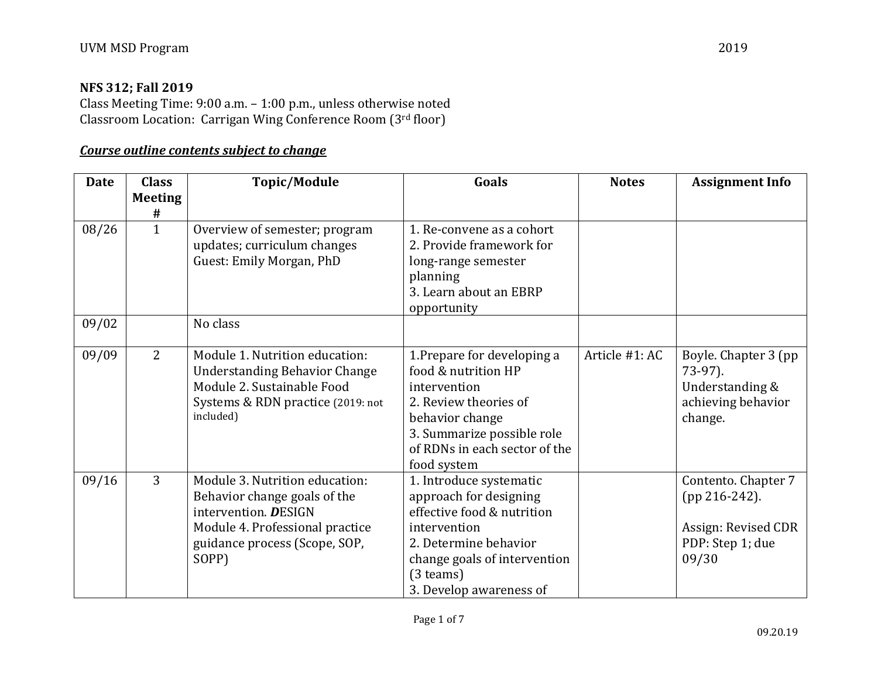### **NFS 312; Fall 2019**

Class Meeting Time: 9:00 a.m. – 1:00 p.m., unless otherwise noted Classroom Location: Carrigan Wing Conference Room (3rd floor)

## *Course outline contents subject to change*

| <b>Date</b> | <b>Class</b><br><b>Meeting</b> | <b>Topic/Module</b>                                                                                                                                                 | Goals                                                                                                                                                                                              | <b>Notes</b>   | <b>Assignment Info</b>                                                                     |
|-------------|--------------------------------|---------------------------------------------------------------------------------------------------------------------------------------------------------------------|----------------------------------------------------------------------------------------------------------------------------------------------------------------------------------------------------|----------------|--------------------------------------------------------------------------------------------|
|             | #                              |                                                                                                                                                                     |                                                                                                                                                                                                    |                |                                                                                            |
| 08/26       | $\mathbf{1}$                   | Overview of semester; program<br>updates; curriculum changes<br>Guest: Emily Morgan, PhD                                                                            | 1. Re-convene as a cohort<br>2. Provide framework for<br>long-range semester<br>planning<br>3. Learn about an EBRP<br>opportunity                                                                  |                |                                                                                            |
| 09/02       |                                | No class                                                                                                                                                            |                                                                                                                                                                                                    |                |                                                                                            |
| 09/09       | 2                              | Module 1. Nutrition education:<br><b>Understanding Behavior Change</b><br>Module 2. Sustainable Food<br>Systems & RDN practice (2019: not<br>included)              | 1. Prepare for developing a<br>food & nutrition HP<br>intervention<br>2. Review theories of<br>behavior change<br>3. Summarize possible role<br>of RDNs in each sector of the<br>food system       | Article #1: AC | Boyle. Chapter 3 (pp)<br>$73-97$ ).<br>Understanding &<br>achieving behavior<br>change.    |
| 09/16       | 3                              | Module 3. Nutrition education:<br>Behavior change goals of the<br>intervention. DESIGN<br>Module 4. Professional practice<br>guidance process (Scope, SOP,<br>SOPP) | 1. Introduce systematic<br>approach for designing<br>effective food & nutrition<br>intervention<br>2. Determine behavior<br>change goals of intervention<br>$(3$ teams)<br>3. Develop awareness of |                | Contento. Chapter 7<br>$(pp 216-242).$<br>Assign: Revised CDR<br>PDP: Step 1; due<br>09/30 |

Page 1 of 7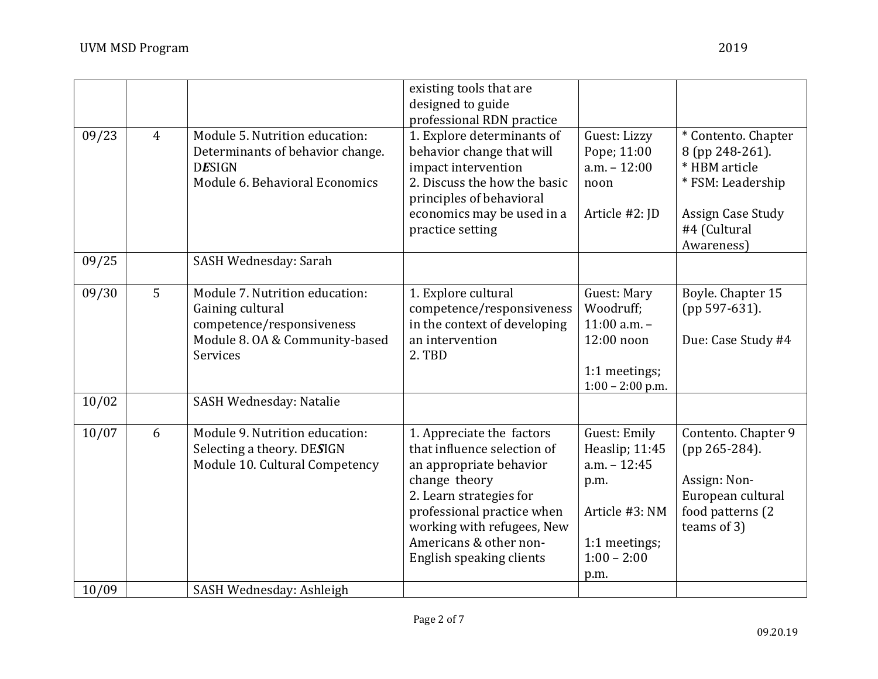|       |                |                                                                                                                                      | existing tools that are<br>designed to guide<br>professional RDN practice                                                                                                                                                                         |                                                                                                                      |                                                                                                                                 |
|-------|----------------|--------------------------------------------------------------------------------------------------------------------------------------|---------------------------------------------------------------------------------------------------------------------------------------------------------------------------------------------------------------------------------------------------|----------------------------------------------------------------------------------------------------------------------|---------------------------------------------------------------------------------------------------------------------------------|
| 09/23 | $\overline{4}$ | Module 5. Nutrition education:<br>Determinants of behavior change.<br><b>DESIGN</b><br>Module 6. Behavioral Economics                | 1. Explore determinants of<br>behavior change that will<br>impact intervention<br>2. Discuss the how the basic<br>principles of behavioral<br>economics may be used in a<br>practice setting                                                      | Guest: Lizzy<br>Pope; 11:00<br>$a.m. - 12:00$<br>noon<br>Article #2: JD                                              | * Contento. Chapter<br>8 (pp 248-261).<br>* HBM article<br>* FSM: Leadership<br>Assign Case Study<br>#4 (Cultural<br>Awareness) |
| 09/25 |                | SASH Wednesday: Sarah                                                                                                                |                                                                                                                                                                                                                                                   |                                                                                                                      |                                                                                                                                 |
| 09/30 | 5              | Module 7. Nutrition education:<br>Gaining cultural<br>competence/responsiveness<br>Module 8. OA & Community-based<br><b>Services</b> | 1. Explore cultural<br>competence/responsiveness<br>in the context of developing<br>an intervention<br>2. TBD                                                                                                                                     | Guest: Mary<br>Woodruff;<br>$11:00$ a.m. $-$<br>12:00 noon<br>1:1 meetings;<br>$1:00 - 2:00$ p.m.                    | Boyle. Chapter 15<br>(pp 597-631).<br>Due: Case Study #4                                                                        |
| 10/02 |                | SASH Wednesday: Natalie                                                                                                              |                                                                                                                                                                                                                                                   |                                                                                                                      |                                                                                                                                 |
| 10/07 | 6              | Module 9. Nutrition education:<br>Selecting a theory. DESIGN<br>Module 10. Cultural Competency                                       | 1. Appreciate the factors<br>that influence selection of<br>an appropriate behavior<br>change theory<br>2. Learn strategies for<br>professional practice when<br>working with refugees, New<br>Americans & other non-<br>English speaking clients | Guest: Emily<br>Heaslip; 11:45<br>$a.m. - 12:45$<br>p.m.<br>Article #3: NM<br>1:1 meetings;<br>$1:00 - 2:00$<br>p.m. | Contento. Chapter 9<br>(pp 265-284).<br>Assign: Non-<br>European cultural<br>food patterns (2<br>teams of 3)                    |
| 10/09 |                | SASH Wednesday: Ashleigh                                                                                                             |                                                                                                                                                                                                                                                   |                                                                                                                      |                                                                                                                                 |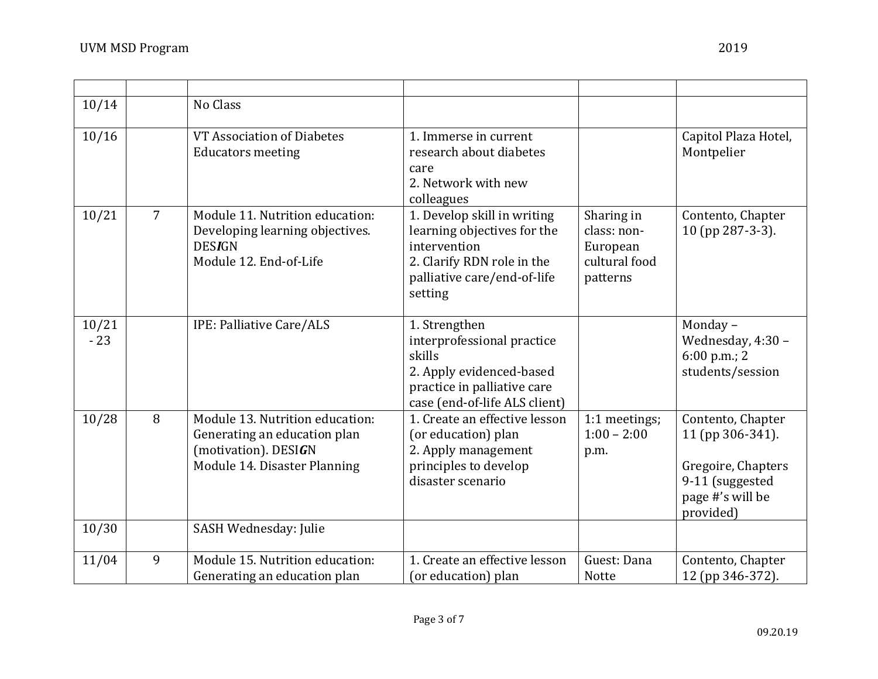| 10/14          |                | No Class                                                                                                                |                                                                                                                                                    |                                                                    |                                                                                                                 |
|----------------|----------------|-------------------------------------------------------------------------------------------------------------------------|----------------------------------------------------------------------------------------------------------------------------------------------------|--------------------------------------------------------------------|-----------------------------------------------------------------------------------------------------------------|
| 10/16          |                | VT Association of Diabetes<br><b>Educators meeting</b>                                                                  | 1. Immerse in current<br>research about diabetes<br>care<br>2. Network with new<br>colleagues                                                      |                                                                    | Capitol Plaza Hotel,<br>Montpelier                                                                              |
| 10/21          | $\overline{7}$ | Module 11. Nutrition education:<br>Developing learning objectives.<br><b>DESIGN</b><br>Module 12. End-of-Life           | 1. Develop skill in writing<br>learning objectives for the<br>intervention<br>2. Clarify RDN role in the<br>palliative care/end-of-life<br>setting | Sharing in<br>class: non-<br>European<br>cultural food<br>patterns | Contento, Chapter<br>10 (pp 287-3-3).                                                                           |
| 10/21<br>$-23$ |                | IPE: Palliative Care/ALS                                                                                                | 1. Strengthen<br>interprofessional practice<br>skills<br>2. Apply evidenced-based<br>practice in palliative care<br>case (end-of-life ALS client)  |                                                                    | Monday-<br>Wednesday, 4:30 -<br>$6:00$ p.m.; 2<br>students/session                                              |
| 10/28          | 8              | Module 13. Nutrition education:<br>Generating an education plan<br>(motivation). DESIGN<br>Module 14. Disaster Planning | 1. Create an effective lesson<br>(or education) plan<br>2. Apply management<br>principles to develop<br>disaster scenario                          | 1:1 meetings;<br>$1:00 - 2:00$<br>p.m.                             | Contento, Chapter<br>11 (pp 306-341).<br>Gregoire, Chapters<br>9-11 (suggested<br>page #'s will be<br>provided) |
| 10/30          |                | SASH Wednesday: Julie                                                                                                   |                                                                                                                                                    |                                                                    |                                                                                                                 |
| 11/04          | 9              | Module 15. Nutrition education:<br>Generating an education plan                                                         | 1. Create an effective lesson<br>(or education) plan                                                                                               | Guest: Dana<br><b>Notte</b>                                        | Contento, Chapter<br>12 (pp 346-372).                                                                           |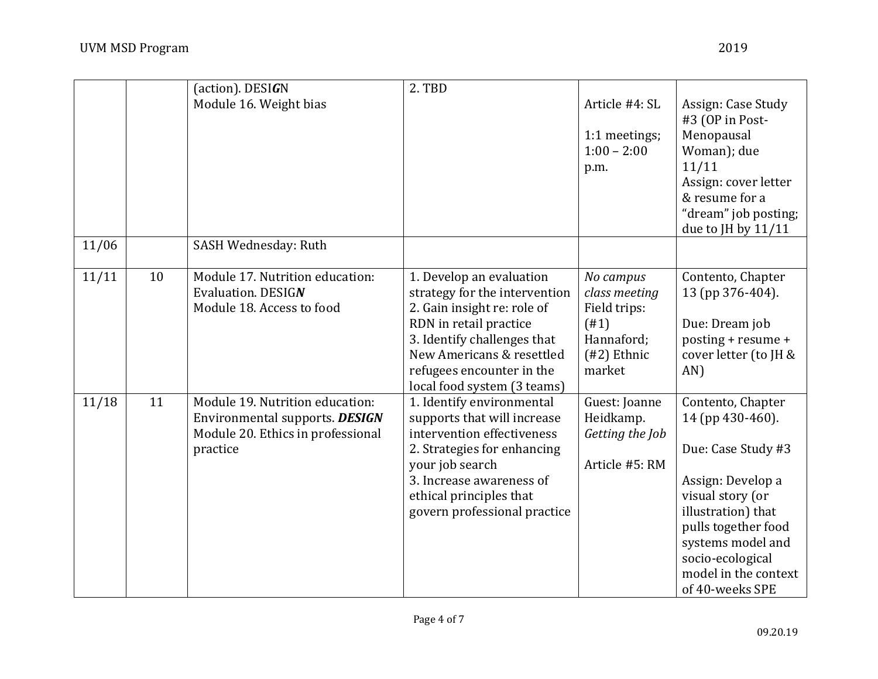|       |    | (action). DESIGN                                                                                                   | 2. TBD                                                                                                                                                                                                                                     |                                                                                             |                                                                                                                                                                                                                                       |
|-------|----|--------------------------------------------------------------------------------------------------------------------|--------------------------------------------------------------------------------------------------------------------------------------------------------------------------------------------------------------------------------------------|---------------------------------------------------------------------------------------------|---------------------------------------------------------------------------------------------------------------------------------------------------------------------------------------------------------------------------------------|
|       |    | Module 16. Weight bias                                                                                             |                                                                                                                                                                                                                                            | Article #4: SL<br>1:1 meetings;<br>$1:00 - 2:00$<br>p.m.                                    | Assign: Case Study<br>#3 (OP in Post-<br>Menopausal<br>Woman); due<br>11/11<br>Assign: cover letter<br>& resume for a<br>"dream" job posting;<br>due to JH by $11/11$                                                                 |
| 11/06 |    | SASH Wednesday: Ruth                                                                                               |                                                                                                                                                                                                                                            |                                                                                             |                                                                                                                                                                                                                                       |
| 11/11 | 10 | Module 17. Nutrition education:<br>Evaluation. DESIGN<br>Module 18. Access to food                                 | 1. Develop an evaluation<br>strategy for the intervention<br>2. Gain insight re: role of<br>RDN in retail practice<br>3. Identify challenges that<br>New Americans & resettled<br>refugees encounter in the<br>local food system (3 teams) | No campus<br>class meeting<br>Field trips:<br>(#1)<br>Hannaford;<br>$(42)$ Ethnic<br>market | Contento, Chapter<br>13 (pp 376-404).<br>Due: Dream job<br>posting + resume +<br>cover letter (to JH &<br>AN)                                                                                                                         |
| 11/18 | 11 | Module 19. Nutrition education:<br>Environmental supports. DESIGN<br>Module 20. Ethics in professional<br>practice | 1. Identify environmental<br>supports that will increase<br>intervention effectiveness<br>2. Strategies for enhancing<br>your job search<br>3. Increase awareness of<br>ethical principles that<br>govern professional practice            | Guest: Joanne<br>Heidkamp.<br>Getting the Job<br>Article #5: RM                             | Contento, Chapter<br>14 (pp 430-460).<br>Due: Case Study #3<br>Assign: Develop a<br>visual story (or<br>illustration) that<br>pulls together food<br>systems model and<br>socio-ecological<br>model in the context<br>of 40-weeks SPE |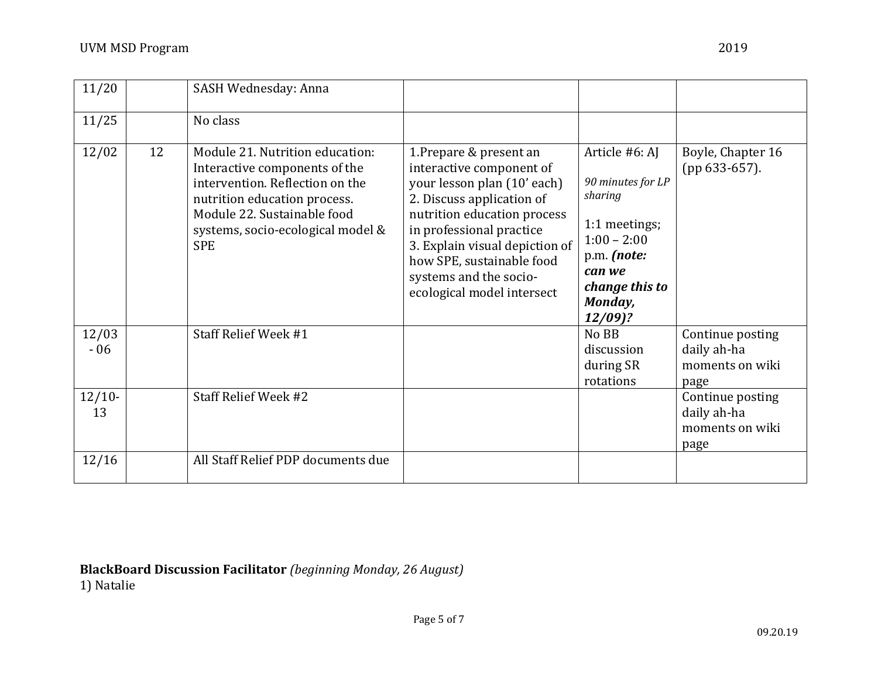| 11/20          |    | SASH Wednesday: Anna                                                                                                                                                                                                  |                                                                                                                                                                                                                                                                                                   |                                                                                                                                                     |                                                            |
|----------------|----|-----------------------------------------------------------------------------------------------------------------------------------------------------------------------------------------------------------------------|---------------------------------------------------------------------------------------------------------------------------------------------------------------------------------------------------------------------------------------------------------------------------------------------------|-----------------------------------------------------------------------------------------------------------------------------------------------------|------------------------------------------------------------|
| 11/25          |    | No class                                                                                                                                                                                                              |                                                                                                                                                                                                                                                                                                   |                                                                                                                                                     |                                                            |
| 12/02          | 12 | Module 21. Nutrition education:<br>Interactive components of the<br>intervention. Reflection on the<br>nutrition education process.<br>Module 22. Sustainable food<br>systems, socio-ecological model &<br><b>SPE</b> | 1. Prepare & present an<br>interactive component of<br>your lesson plan (10' each)<br>2. Discuss application of<br>nutrition education process<br>in professional practice<br>3. Explain visual depiction of<br>how SPE, sustainable food<br>systems and the socio-<br>ecological model intersect | Article #6: AJ<br>90 minutes for LP<br>sharing<br>1:1 meetings;<br>$1:00 - 2:00$<br>p.m. (note:<br>can we<br>change this to<br>Monday,<br>$12/09$ ? | Boyle, Chapter 16<br>(pp 633-657).                         |
| 12/03<br>$-06$ |    | Staff Relief Week #1                                                                                                                                                                                                  |                                                                                                                                                                                                                                                                                                   | No BB<br>discussion<br>during SR<br>rotations                                                                                                       | Continue posting<br>daily ah-ha<br>moments on wiki<br>page |
| $12/10-$<br>13 |    | Staff Relief Week #2                                                                                                                                                                                                  |                                                                                                                                                                                                                                                                                                   |                                                                                                                                                     | Continue posting<br>daily ah-ha<br>moments on wiki<br>page |
| 12/16          |    | All Staff Relief PDP documents due                                                                                                                                                                                    |                                                                                                                                                                                                                                                                                                   |                                                                                                                                                     |                                                            |

**BlackBoard Discussion Facilitator** *(beginning Monday, 26 August)* 1) Natalie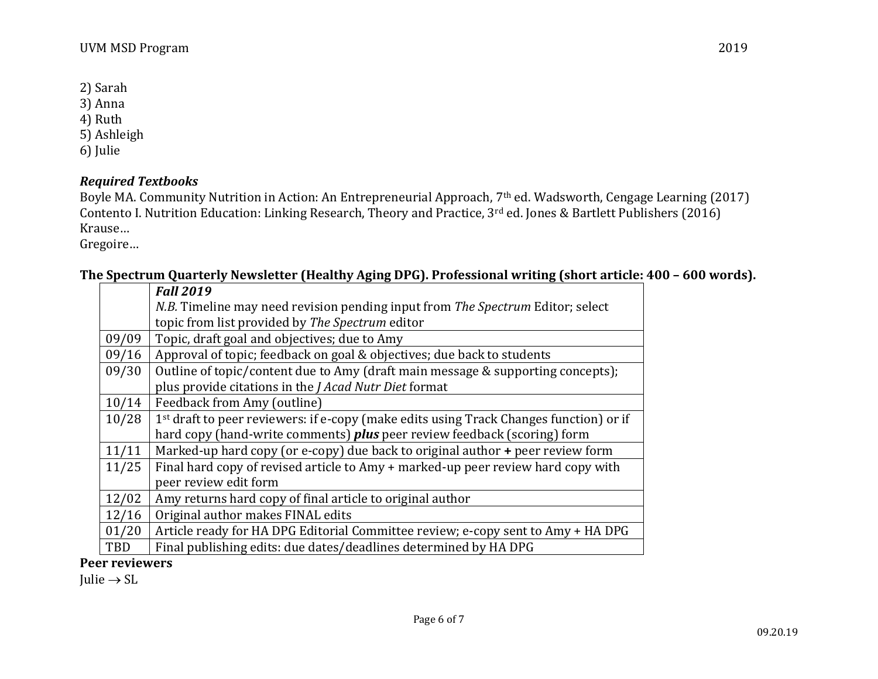- 2) Sarah
- 3) Anna
- 4) Ruth
- 5) Ashleigh
- 6) Julie

# *Required Textbooks*

Boyle MA. Community Nutrition in Action: An Entrepreneurial Approach, 7th ed. Wadsworth, Cengage Learning (2017) Contento I. Nutrition Education: Linking Research, Theory and Practice, 3rd ed. Jones & Bartlett Publishers (2016) Krause…

Gregoire…

# **The Spectrum Quarterly Newsletter (Healthy Aging DPG). Professional writing (short article: 400 – 600 words).**

|       | <b>Fall 2019</b>                                                                                   |
|-------|----------------------------------------------------------------------------------------------------|
|       | N.B. Timeline may need revision pending input from The Spectrum Editor; select                     |
|       | topic from list provided by The Spectrum editor                                                    |
| 09/09 | Topic, draft goal and objectives; due to Amy                                                       |
| 09/16 | Approval of topic; feedback on goal & objectives; due back to students                             |
| 09/30 | Outline of topic/content due to Amy (draft main message & supporting concepts);                    |
|       | plus provide citations in the <i>J Acad Nutr Diet</i> format                                       |
| 10/14 | Feedback from Amy (outline)                                                                        |
| 10/28 | 1 <sup>st</sup> draft to peer reviewers: if e-copy (make edits using Track Changes function) or if |
|       | hard copy (hand-write comments) <i>plus</i> peer review feedback (scoring) form                    |
| 11/11 | Marked-up hard copy (or e-copy) due back to original author + peer review form                     |
| 11/25 | Final hard copy of revised article to Amy + marked-up peer review hard copy with                   |
|       | peer review edit form                                                                              |
| 12/02 | Amy returns hard copy of final article to original author                                          |
| 12/16 | Original author makes FINAL edits                                                                  |
| 01/20 | Article ready for HA DPG Editorial Committee review; e-copy sent to Amy + HA DPG                   |
| TBD   | Final publishing edits: due dates/deadlines determined by HA DPG                                   |

#### **Peer reviewers**

Julie  $\rightarrow$  SL